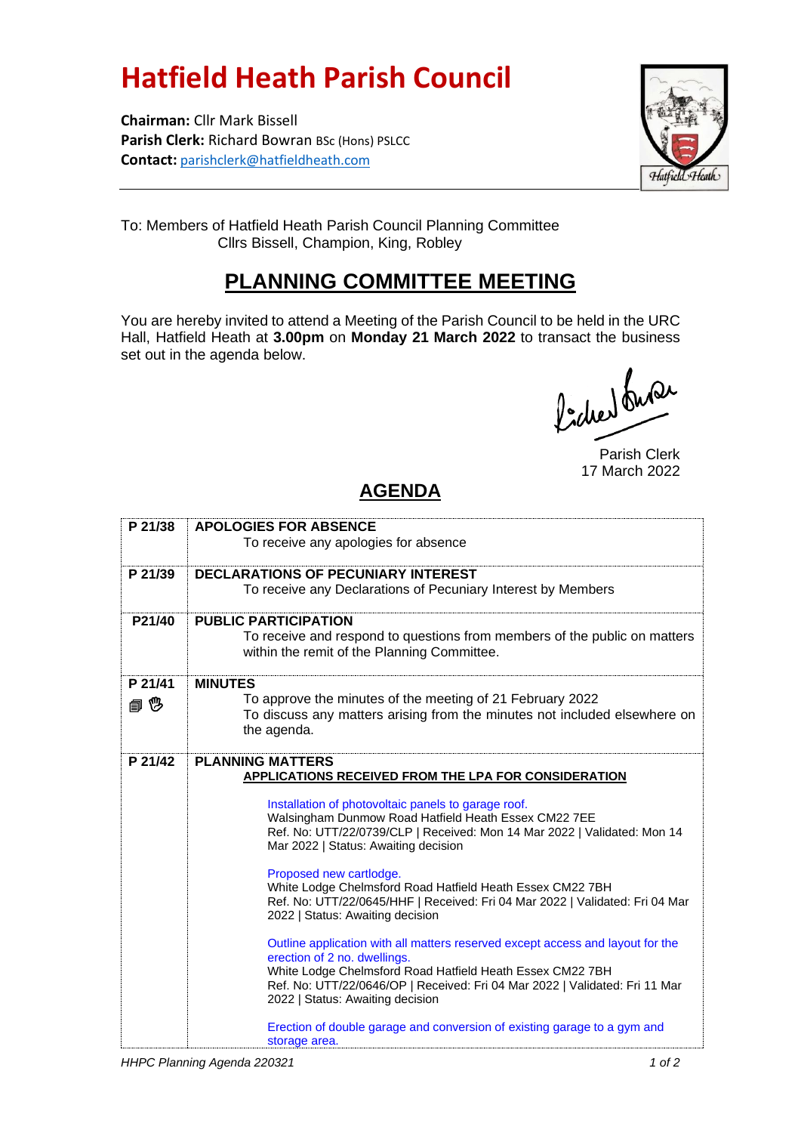## **Hatfield Heath Parish Council**

**Chairman:** Cllr Mark Bissell **Parish Clerk:** Richard Bowran BSc (Hons) PSLCC **Contact:** [parishclerk@hatfieldheath.com](mailto:parishclerk@hatfieldheath.com)



To: Members of Hatfield Heath Parish Council Planning Committee Cllrs Bissell, Champion, King, Robley

## **PLANNING COMMITTEE MEETING**

You are hereby invited to attend a Meeting of the Parish Council to be held in the URC Hall, Hatfield Heath at **3.00pm** on **Monday 21 March 2022** to transact the business set out in the agenda below.

Pocher buse

Parish Clerk 17 March 2022

## **AGENDA**

| P 21/38 | <b>APOLOGIES FOR ABSENCE</b>                                                                                                             |
|---------|------------------------------------------------------------------------------------------------------------------------------------------|
|         | To receive any apologies for absence                                                                                                     |
|         |                                                                                                                                          |
| P 21/39 | <b>DECLARATIONS OF PECUNIARY INTEREST</b>                                                                                                |
|         | To receive any Declarations of Pecuniary Interest by Members                                                                             |
| P21/40  | <b>PUBLIC PARTICIPATION</b>                                                                                                              |
|         | To receive and respond to questions from members of the public on matters                                                                |
|         | within the remit of the Planning Committee.                                                                                              |
| P 21/41 | <b>MINUTES</b>                                                                                                                           |
| @ 10    | To approve the minutes of the meeting of 21 February 2022                                                                                |
|         | To discuss any matters arising from the minutes not included elsewhere on                                                                |
|         | the agenda.                                                                                                                              |
| P 21/42 | <b>PLANNING MATTERS</b>                                                                                                                  |
|         | APPLICATIONS RECEIVED FROM THE LPA FOR CONSIDERATION                                                                                     |
|         | Installation of photovoltaic panels to garage roof.                                                                                      |
|         | Walsingham Dunmow Road Hatfield Heath Essex CM22 7EE                                                                                     |
|         | Ref. No: UTT/22/0739/CLP   Received: Mon 14 Mar 2022   Validated: Mon 14                                                                 |
|         | Mar 2022   Status: Awaiting decision                                                                                                     |
|         | Proposed new cartlodge.                                                                                                                  |
|         | White Lodge Chelmsford Road Hatfield Heath Essex CM22 7BH                                                                                |
|         | Ref. No: UTT/22/0645/HHF   Received: Fri 04 Mar 2022   Validated: Fri 04 Mar                                                             |
|         | 2022   Status: Awaiting decision                                                                                                         |
|         | Outline application with all matters reserved except access and layout for the                                                           |
|         | erection of 2 no. dwellings.                                                                                                             |
|         | White Lodge Chelmsford Road Hatfield Heath Essex CM22 7BH<br>Ref. No: UTT/22/0646/OP   Received: Fri 04 Mar 2022   Validated: Fri 11 Mar |
|         | 2022   Status: Awaiting decision                                                                                                         |
|         | Erection of double garage and conversion of existing garage to a gym and                                                                 |
|         | storage area.                                                                                                                            |